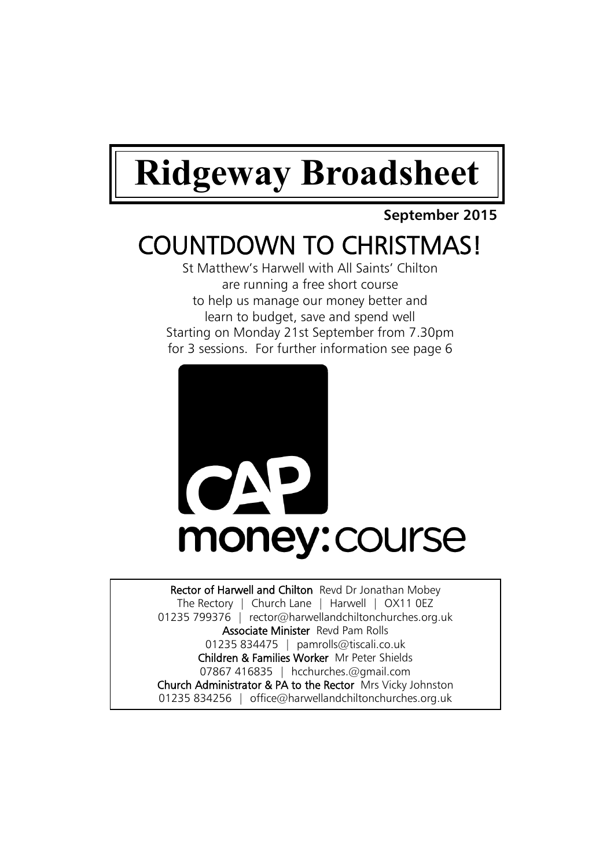# **Ridgeway Broadsheet**

### **September 2015**

# COUNTDOWN TO CHRISTMAS!

St Matthew's Harwell with All Saints' Chilton are running a free short course to help us manage our money better and learn to budget, save and spend well Starting on Monday 21st September from 7.30pm for 3 sessions. For further information see page 6



Rector of Harwell and Chilton Revd Dr Jonathan Mobey The Rectory | Church Lane | Harwell | OX11 0EZ 01235 799376 | rector@harwellandchiltonchurches.org.uk Associate Minister Revd Pam Rolls 01235 834475 | pamrolls@tiscali.co.uk Children & Families Worker Mr Peter Shields 07867 416835 | hcchurches.@gmail.com Church Administrator & PA to the Rector Mrs Vicky Johnston 01235 834256 | office@harwellandchiltonchurches.org.uk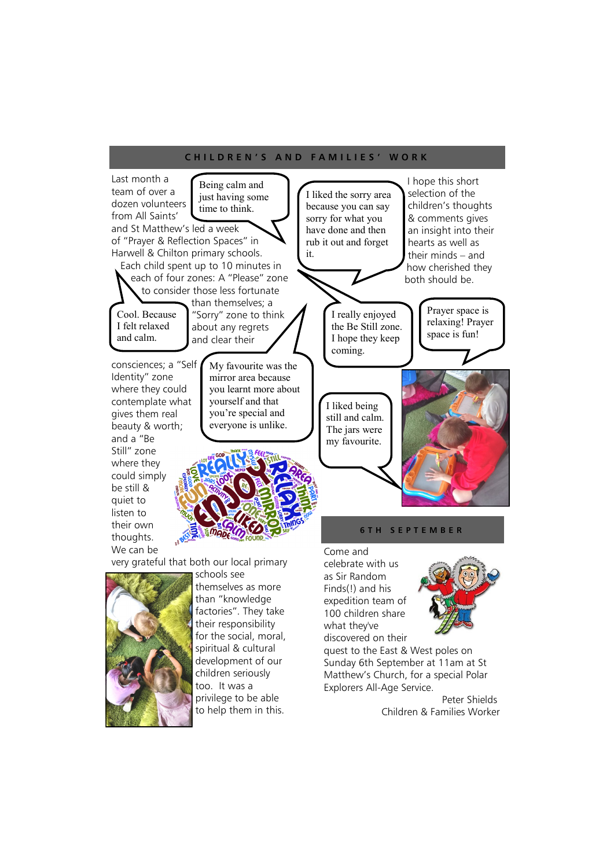#### **C H I L D R E N ' S A N D F A M I L I E S ' W O R K**



for the social, moral, spiritual & cultural development of our children seriously too. It was a privilege to be able to help them in this.

discovered on their quest to the East & West poles on Sunday 6th September at 11am at St Matthew's Church, for a special Polar Explorers All-Age Service.

> Peter Shields Children & Families Worker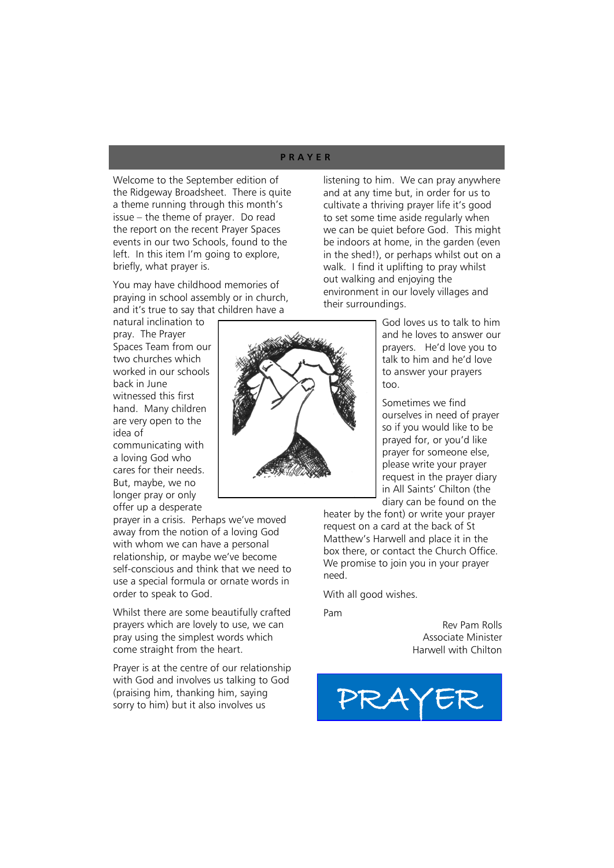#### **P R A Y E R**

Welcome to the September edition of the Ridgeway Broadsheet. There is quite a theme running through this month's issue – the theme of prayer. Do read the report on the recent Prayer Spaces events in our two Schools, found to the left. In this item I'm going to explore, briefly, what prayer is.

You may have childhood memories of praying in school assembly or in church, and it's true to say that children have a

natural inclination to pray. The Prayer Spaces Team from our two churches which worked in our schools back in June witnessed this first hand. Many children are very open to the idea of

communicating with a loving God who cares for their needs. But, maybe, we no longer pray or only offer up a desperate

prayer in a crisis. Perhaps we've moved away from the notion of a loving God with whom we can have a personal relationship, or maybe we've become self-conscious and think that we need to use a special formula or ornate words in order to speak to God.

Whilst there are some beautifully crafted prayers which are lovely to use, we can pray using the simplest words which come straight from the heart.

Prayer is at the centre of our relationship with God and involves us talking to God (praising him, thanking him, saying Sorry to him) but it also involves us **PRAYER** 

listening to him. We can pray anywhere and at any time but, in order for us to cultivate a thriving prayer life it's good to set some time aside regularly when we can be quiet before God. This might be indoors at home, in the garden (even in the shed!), or perhaps whilst out on a walk. I find it uplifting to pray whilst out walking and enjoying the environment in our lovely villages and their surroundings.

> God loves us to talk to him and he loves to answer our prayers. He'd love you to talk to him and he'd love to answer your prayers too.

Sometimes we find ourselves in need of prayer so if you would like to be prayed for, or you'd like prayer for someone else, please write your prayer request in the prayer diary in All Saints' Chilton (the diary can be found on the

heater by the font) or write your prayer request on a card at the back of St Matthew's Harwell and place it in the box there, or contact the Church Office. We promise to join you in your prayer need.

With all good wishes.

Pam

Rev Pam Rolls Associate Minister Harwell with Chilton



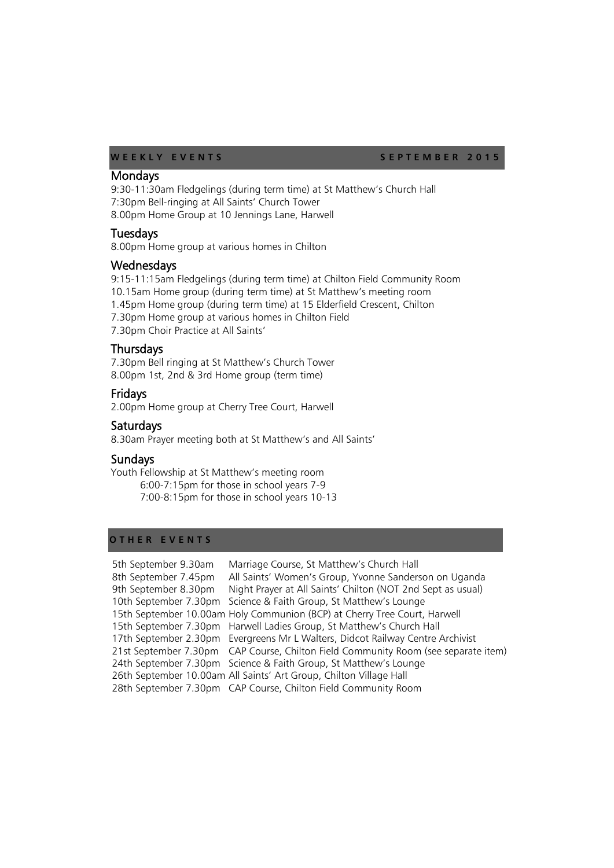WEEKLY EVENTS SEPTEMBER 2015

#### Mondays

9:30-11:30am Fledgelings (during term time) at St Matthew's Church Hall 7:30pm Bell-ringing at All Saints' Church Tower 8.00pm Home Group at 10 Jennings Lane, Harwell

#### **Tuesdays**

8.00pm Home group at various homes in Chilton

#### **Wednesdays**

9:15-11:15am Fledgelings (during term time) at Chilton Field Community Room 10.15am Home group (during term time) at St Matthew's meeting room 1.45pm Home group (during term time) at 15 Elderfield Crescent, Chilton 7.30pm Home group at various homes in Chilton Field 7.30pm Choir Practice at All Saints'

#### **Thursdays**

7.30pm Bell ringing at St Matthew's Church Tower 8.00pm 1st, 2nd & 3rd Home group (term time)

#### Fridays

2.00pm Home group at Cherry Tree Court, Harwell

#### Saturdays

8.30am Prayer meeting both at St Matthew's and All Saints'

#### **Sundays**

Youth Fellowship at St Matthew's meeting room 6:00-7:15pm for those in school years 7-9 7:00-8:15pm for those in school years 10-13

### **O T H E R E V E N T S**

| 5th September 9.30am | Marriage Course, St Matthew's Church Hall                                          |
|----------------------|------------------------------------------------------------------------------------|
| 8th September 7.45pm | All Saints' Women's Group, Yvonne Sanderson on Uganda                              |
| 9th September 8.30pm | Night Prayer at All Saints' Chilton (NOT 2nd Sept as usual)                        |
|                      | 10th September 7.30pm Science & Faith Group, St Matthew's Lounge                   |
|                      | 15th September 10.00am Holy Communion (BCP) at Cherry Tree Court, Harwell          |
|                      | 15th September 7.30pm Harwell Ladies Group, St Matthew's Church Hall               |
|                      | 17th September 2.30pm Evergreens Mr L Walters, Didcot Railway Centre Archivist     |
|                      | 21st September 7.30pm CAP Course, Chilton Field Community Room (see separate item) |
|                      | 24th September 7.30pm Science & Faith Group, St Matthew's Lounge                   |
|                      | 26th September 10.00am All Saints' Art Group, Chilton Village Hall                 |
|                      | 28th September 7.30pm CAP Course, Chilton Field Community Room                     |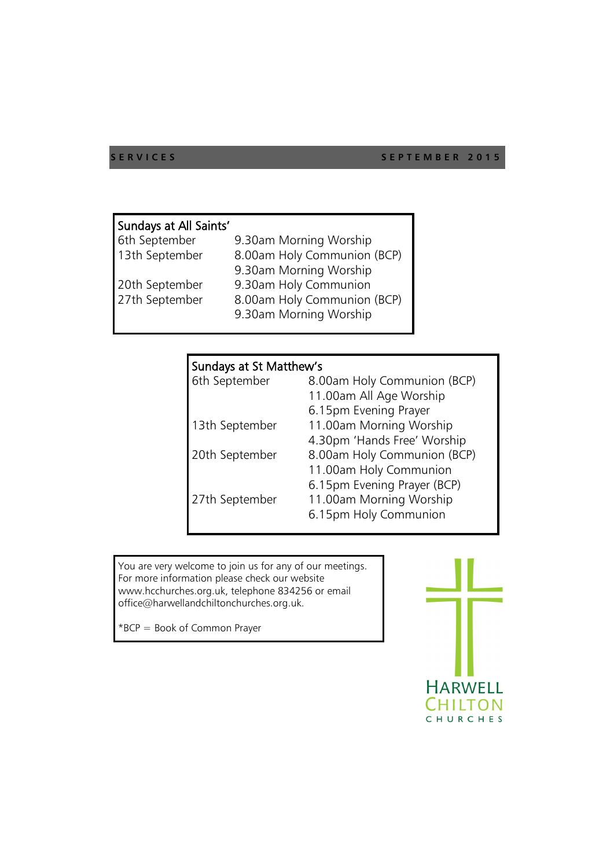#### **SERVICES** SEPTEMBER 2015

| Sundays at All Saints' |                        |
|------------------------|------------------------|
| 6th September          | 9.30am Morning Worship |

| 13th September | 8.00am Holy Communion (BCP) |
|----------------|-----------------------------|
|                | 9.30am Morning Worship      |
| 20th September | 9.30am Holy Communion       |
| 27th September | 8.00am Holy Communion (BCP) |
|                | 9.30am Morning Worship      |

## Sundays at St Matthew's

| 6th September  | 8.00am Holy Communion (BCP) |
|----------------|-----------------------------|
|                | 11.00am All Age Worship     |
|                | 6.15pm Evening Prayer       |
| 13th September | 11.00am Morning Worship     |
|                | 4.30pm 'Hands Free' Worship |
| 20th September | 8.00am Holy Communion (BCP) |
|                | 11.00am Holy Communion      |
|                | 6.15pm Evening Prayer (BCP) |
| 27th September | 11.00am Morning Worship     |
|                | 6.15pm Holy Communion       |
|                |                             |

You are very welcome to join us for any of our meetings. For more information please check our website www.hcchurches.org.uk, telephone 834256 or email office@harwellandchiltonchurches.org.uk.

\*BCP = Book of Common Prayer

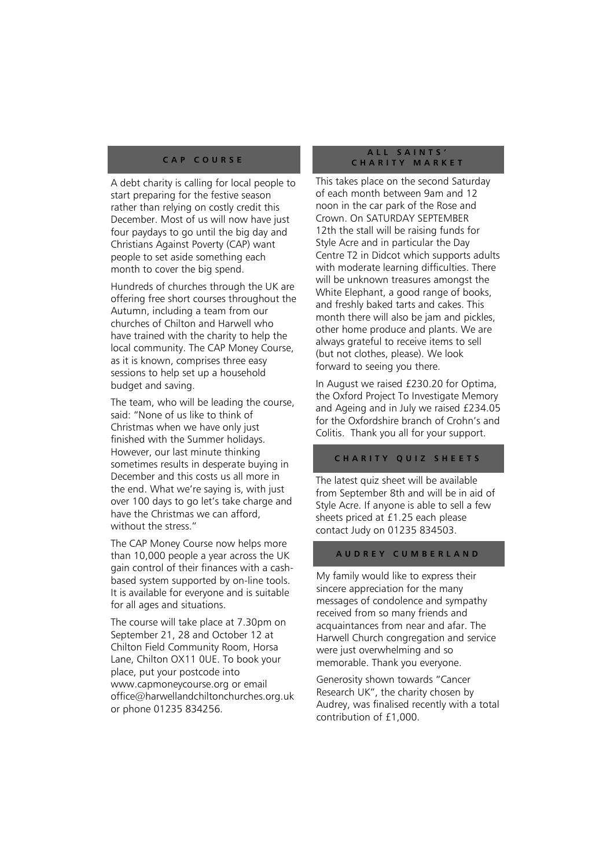#### **C A P C O U R S E**

A debt charity is calling for local people to start preparing for the festive season rather than relying on costly credit this December. Most of us will now have just four paydays to go until the big day and Christians Against Poverty (CAP) want people to set aside something each month to cover the big spend.

Hundreds of churches through the UK are offering free short courses throughout the Autumn, including a team from our churches of Chilton and Harwell who have trained with the charity to help the local community. The CAP Money Course, as it is known, comprises three easy sessions to help set up a household budget and saving.

The team, who will be leading the course, said: "None of us like to think of Christmas when we have only just finished with the Summer holidays. However, our last minute thinking sometimes results in desperate buying in December and this costs us all more in the end. What we're saying is, with just over 100 days to go let's take charge and have the Christmas we can afford, without the stress."

The CAP Money Course now helps more than 10,000 people a year across the UK gain control of their finances with a cashbased system supported by on-line tools. It is available for everyone and is suitable for all ages and situations.

The course will take place at 7.30pm on September 21, 28 and October 12 at Chilton Field Community Room, Horsa Lane, Chilton OX11 0UE. To book your place, put your postcode into www.capmoneycourse.org or email office@harwellandchiltonchurches.org.uk or phone 01235 834256.

#### **A L L S A I N T S ' C H A R I T Y M A R K E T**

This takes place on the second Saturday of each month between 9am and 12 noon in the car park of the Rose and Crown. On SATURDAY SEPTEMBER 12th the stall will be raising funds for Style Acre and in particular the Day Centre T2 in Didcot which supports adults with moderate learning difficulties. There will be unknown treasures amongst the White Elephant, a good range of books, and freshly baked tarts and cakes. This month there will also be jam and pickles, other home produce and plants. We are always grateful to receive items to sell (but not clothes, please). We look forward to seeing you there.

In August we raised £230.20 for Optima, the Oxford Project To Investigate Memory and Ageing and in July we raised £234.05 for the Oxfordshire branch of Crohn's and Colitis. Thank you all for your support.

#### **CHARITY QUIZ SHEETS**

The latest quiz sheet will be available from September 8th and will be in aid of Style Acre. If anyone is able to sell a few sheets priced at £1.25 each please contact Judy on 01235 834503.

#### **A U D R E Y C U M B E R L A N D**

My family would like to express their sincere appreciation for the many messages of condolence and sympathy received from so many friends and acquaintances from near and afar. The Harwell Church congregation and service were just overwhelming and so memorable. Thank you everyone.

Generosity shown towards "Cancer Research UK", the charity chosen by Audrey, was finalised recently with a total contribution of £1,000.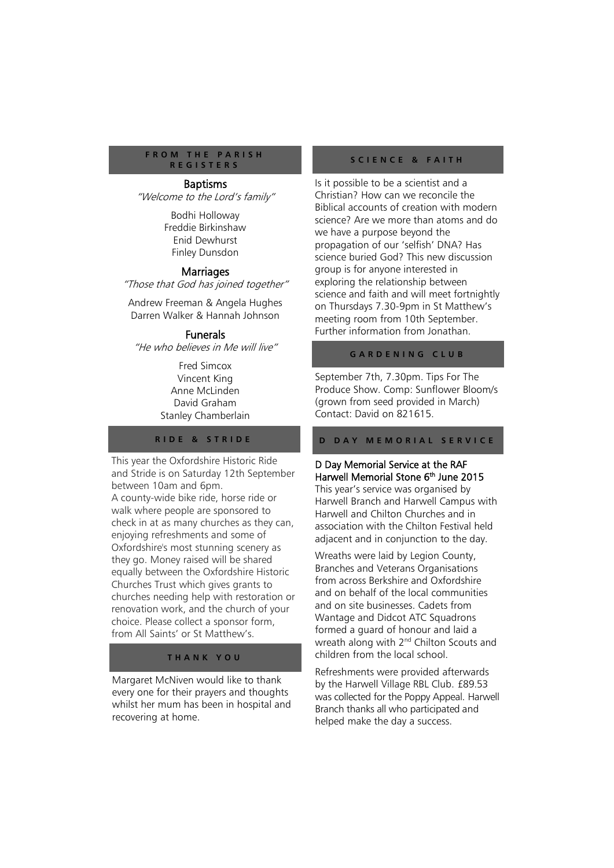#### **F R O M T H E P A R I S H R E G I S T E R S**

#### Baptisms

"Welcome to the Lord's family"

Bodhi Holloway Freddie Birkinshaw Enid Dewhurst Finley Dunsdon

#### **Marriages**

"Those that God has joined together"

Andrew Freeman & Angela Hughes Darren Walker & Hannah Johnson

#### **Funerals**

"He who believes in Me will live"

Fred Simcox Vincent King Anne McLinden David Graham Stanley Chamberlain

#### **R I D E & S T R I D E**

This year the Oxfordshire Historic Ride and Stride is on Saturday 12th September between 10am and 6pm. A county-wide bike ride, horse ride or walk where people are sponsored to check in at as many churches as they can, enjoying refreshments and some of Oxfordshire's most stunning scenery as they go. Money raised will be shared equally between the Oxfordshire Historic Churches Trust which gives grants to churches needing help with restoration or renovation work, and the church of your choice. Please collect a sponsor form, from All Saints' or St Matthew's.

#### **T H A N K Y O U**

Margaret McNiven would like to thank every one for their prayers and thoughts whilst her mum has been in hospital and recovering at home.

#### **S C I E N C E & F A I T H**

Is it possible to be a scientist and a Christian? How can we reconcile the Biblical accounts of creation with modern science? Are we more than atoms and do we have a purpose beyond the propagation of our 'selfish' DNA? Has science buried God? This new discussion group is for anyone interested in exploring the relationship between science and faith and will meet fortnightly on Thursdays 7.30-9pm in St Matthew's meeting room from 10th September. Further information from Jonathan.

#### **G A R D E N I N G C L U B**

September 7th, 7.30pm. Tips For The Produce Show. Comp: Sunflower Bloom/s (grown from seed provided in March) Contact: David on 821615.

#### **D D A Y M E M O R I A L S E R V I C E**

#### D Day Memorial Service at the RAF Harwell Memorial Stone 6<sup>th</sup> June 2015

This year's service was organised by Harwell Branch and Harwell Campus with Harwell and Chilton Churches and in association with the Chilton Festival held adjacent and in conjunction to the day.

Wreaths were laid by Legion County, Branches and Veterans Organisations from across Berkshire and Oxfordshire and on behalf of the local communities and on site businesses. Cadets from Wantage and Didcot ATC Squadrons formed a guard of honour and laid a wreath along with 2<sup>nd</sup> Chilton Scouts and children from the local school.

Refreshments were provided afterwards by the Harwell Village RBL Club. £89.53 was collected for the Poppy Appeal. Harwell Branch thanks all who participated and helped make the day a success.